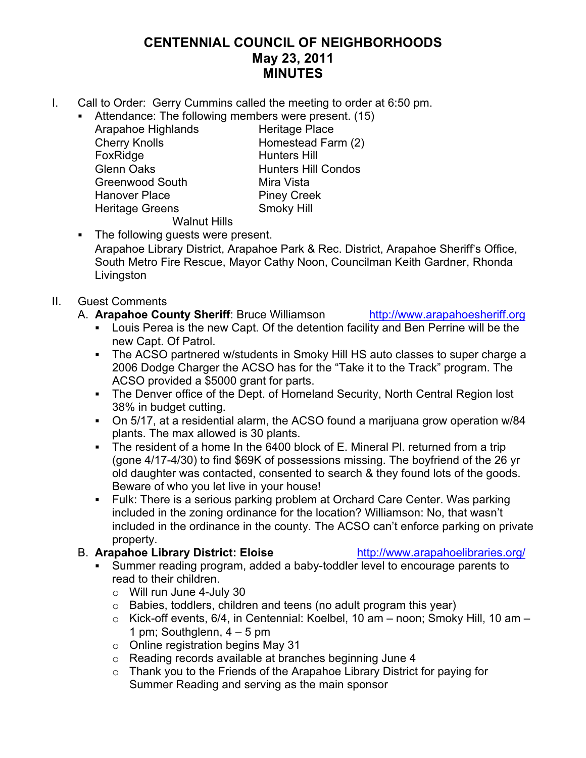## **CENTENNIAL COUNCIL OF NEIGHBORHOODS May 23, 2011 MINUTES**

- I. Call to Order: Gerry Cummins called the meeting to order at 6:50 pm.
	- **Attendance: The following members were present. (15)**<br>Arapahoe Highlands Heritage Place
		- Arapahoe Highlands Cherry Knolls Homestead Farm (2) FoxRidge Hunters Hill Glenn Oaks **Hunters Hill Condos** Greenwood South Mira Vista Hanover Place Piney Creek Heritage Greens Smoky Hill

Walnut Hills • The following quests were present.

Arapahoe Library District, Arapahoe Park & Rec. District, Arapahoe Sheriff's Office, South Metro Fire Rescue, Mayor Cathy Noon, Councilman Keith Gardner, Rhonda **Livingston** 

### II. Guest Comments

- A. **Arapahoe County Sheriff**: Bruce Williamson http://www.arapahoesheriff.org
	- ! Louis Perea is the new Capt. Of the detention facility and Ben Perrine will be the new Capt. Of Patrol.
	- ! The ACSO partnered w/students in Smoky Hill HS auto classes to super charge a 2006 Dodge Charger the ACSO has for the "Take it to the Track" program. The ACSO provided a \$5000 grant for parts.
	- The Denver office of the Dept. of Homeland Security, North Central Region lost 38% in budget cutting.
	- ! On 5/17, at a residential alarm, the ACSO found a marijuana grow operation w/84 plants. The max allowed is 30 plants.
	- ! The resident of a home In the 6400 block of E. Mineral Pl. returned from a trip (gone 4/17-4/30) to find \$69K of possessions missing. The boyfriend of the 26 yr old daughter was contacted, consented to search & they found lots of the goods. Beware of who you let live in your house!
	- ! Fulk: There is a serious parking problem at Orchard Care Center. Was parking included in the zoning ordinance for the location? Williamson: No, that wasn't included in the ordinance in the county. The ACSO can't enforce parking on private property.

### B. **Arapahoe Library District: Eloise** http://www.arapahoelibraries.org/

- ! Summer reading program, added a baby-toddler level to encourage parents to read to their children.
	- $\circ$  Will run June 4-July 30
	- o Babies, toddlers, children and teens (no adult program this year)
	- o Kick-off events, 6/4, in Centennial: Koelbel, 10 am noon; Smoky Hill, 10 am 1 pm; Southglenn,  $4 - 5$  pm
	- $\circ$  Online registration begins May 31
	- o Reading records available at branches beginning June 4
	- o Thank you to the Friends of the Arapahoe Library District for paying for Summer Reading and serving as the main sponsor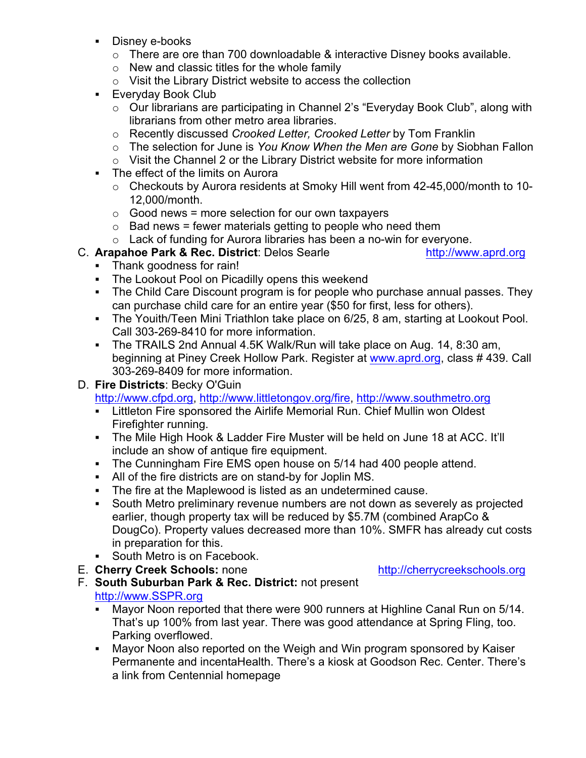- **Disney e-books** 
	- o There are ore than 700 downloadable & interactive Disney books available.
	- $\circ$  New and classic titles for the whole family
	- o Visit the Library District website to access the collection
- ! Everyday Book Club
	- o Our librarians are participating in Channel 2's "Everyday Book Club", along with librarians from other metro area libraries.
	- o Recently discussed *Crooked Letter, Crooked Letter* by Tom Franklin
	- o The selection for June is *You Know When the Men are Gone* by Siobhan Fallon
	- o Visit the Channel 2 or the Library District website for more information
- ! The effect of the limits on Aurora
	- o Checkouts by Aurora residents at Smoky Hill went from 42-45,000/month to 10- 12,000/month.
	- $\circ$  Good news = more selection for our own taxpayers
	- $\circ$  Bad news = fewer materials getting to people who need them
	- o Lack of funding for Aurora libraries has been a no-win for everyone.
- C. **Arapahoe Park & Rec. District**: Delos Searle http://www.aprd.org
	-
- ! Thank goodness for rain!
- ! The Lookout Pool on Picadilly opens this weekend
- ! The Child Care Discount program is for people who purchase annual passes. They can purchase child care for an entire year (\$50 for first, less for others).
- ! The Youith/Teen Mini Triathlon take place on 6/25, 8 am, starting at Lookout Pool. Call 303-269-8410 for more information.
- ! The TRAILS 2nd Annual 4.5K Walk/Run will take place on Aug. 14, 8:30 am, beginning at Piney Creek Hollow Park. Register at www.aprd.org, class # 439. Call 303-269-8409 for more information.
- D. **Fire Districts**: Becky O'Guin

http://www.cfpd.org, http://www.littletongov.org/fire, http://www.southmetro.org

- **EXECT 1.1 Exercity Fire Sponsored the Airlife Memorial Run. Chief Mullin won Oldest** Firefighter running.
- ! The Mile High Hook & Ladder Fire Muster will be held on June 18 at ACC. It'll include an show of antique fire equipment.
- ! The Cunningham Fire EMS open house on 5/14 had 400 people attend.
- ! All of the fire districts are on stand-by for Joplin MS.
- ! The fire at the Maplewood is listed as an undetermined cause.
- ! South Metro preliminary revenue numbers are not down as severely as projected earlier, though property tax will be reduced by \$5.7M (combined ArapCo & DougCo). Property values decreased more than 10%. SMFR has already cut costs in preparation for this.
- South Metro is on Facebook.
- E. **Cherry Creek Schools:** none http://cherrycreekschools.org
- F. **South Suburban Park & Rec. District:** not present http://www.SSPR.org
	- ! Mayor Noon reported that there were 900 runners at Highline Canal Run on 5/14. That's up 100% from last year. There was good attendance at Spring Fling, too. Parking overflowed.
	- ! Mayor Noon also reported on the Weigh and Win program sponsored by Kaiser Permanente and incentaHealth. There's a kiosk at Goodson Rec. Center. There's a link from Centennial homepage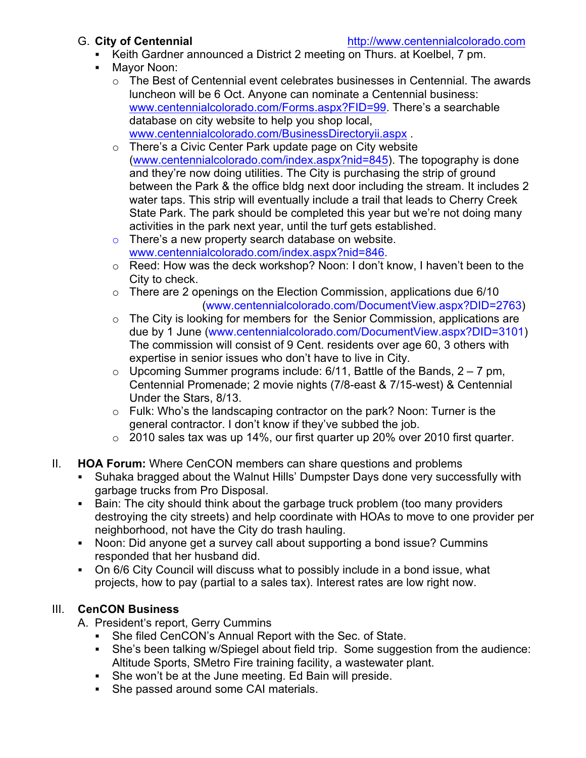- ! Keith Gardner announced a District 2 meeting on Thurs. at Koelbel, 7 pm.
- ! Mayor Noon:
	- $\circ$  The Best of Centennial event celebrates businesses in Centennial. The awards luncheon will be 6 Oct. Anyone can nominate a Centennial business: www.centennialcolorado.com/Forms.aspx?FID=99. There's a searchable database on city website to help you shop local, www.centennialcolorado.com/BusinessDirectoryii.aspx .
	- o There's a Civic Center Park update page on City website (www.centennialcolorado.com/index.aspx?nid=845). The topography is done and they're now doing utilities. The City is purchasing the strip of ground between the Park & the office bldg next door including the stream. It includes 2 water taps. This strip will eventually include a trail that leads to Cherry Creek State Park. The park should be completed this year but we're not doing many activities in the park next year, until the turf gets established.
	- $\circ$  There's a new property search database on website. www.centennialcolorado.com/index.aspx?nid=846.
	- o Reed: How was the deck workshop? Noon: I don't know, I haven't been to the City to check.
	- $\circ$  There are 2 openings on the Election Commission, applications due 6/10 (www.centennialcolorado.com/DocumentView.aspx?DID=2763)
	- $\circ$  The City is looking for members for the Senior Commission, applications are due by 1 June (www.centennialcolorado.com/DocumentView.aspx?DID=3101) The commission will consist of 9 Cent. residents over age 60, 3 others with expertise in senior issues who don't have to live in City.
	- $\circ$  Upcoming Summer programs include: 6/11, Battle of the Bands, 2 7 pm, Centennial Promenade; 2 movie nights (7/8-east & 7/15-west) & Centennial Under the Stars, 8/13.
	- o Fulk: Who's the landscaping contractor on the park? Noon: Turner is the general contractor. I don't know if they've subbed the job.
	- o 2010 sales tax was up 14%, our first quarter up 20% over 2010 first quarter.
- II. **HOA Forum:** Where CenCON members can share questions and problems
	- ! Suhaka bragged about the Walnut Hills' Dumpster Days done very successfully with garbage trucks from Pro Disposal.
	- ! Bain: The city should think about the garbage truck problem (too many providers destroying the city streets) and help coordinate with HOAs to move to one provider per neighborhood, not have the City do trash hauling.
	- Noon: Did anyone get a survey call about supporting a bond issue? Cummins responded that her husband did.
	- ! On 6/6 City Council will discuss what to possibly include in a bond issue, what projects, how to pay (partial to a sales tax). Interest rates are low right now.

# III. **CenCON Business**

- A. President's report, Gerry Cummins
	- ! She filed CenCON's Annual Report with the Sec. of State.
	- ! She's been talking w/Spiegel about field trip. Some suggestion from the audience: Altitude Sports, SMetro Fire training facility, a wastewater plant.
	- ! She won't be at the June meeting. Ed Bain will preside.
	- She passed around some CAI materials.